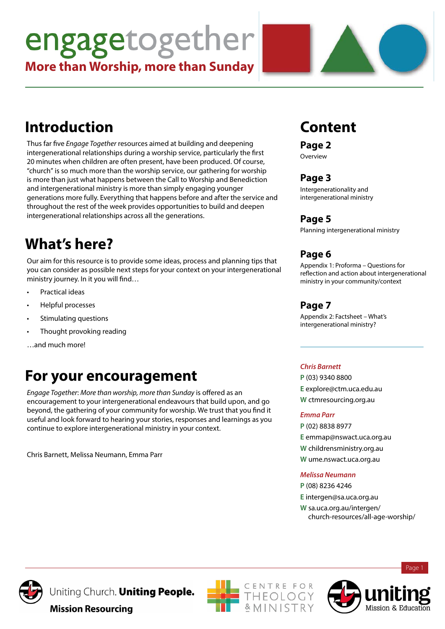# engagetogether

**More than Worship, more than Sunday**

# **Introduction**

Thus far five *Engage Together* resources aimed at building and deepening intergenerational relationships during a worship service, particularly the first 20 minutes when children are often present, have been produced. Of course, "church" is so much more than the worship service, our gathering for worship is more than just what happens between the Call to Worship and Benediction and intergenerational ministry is more than simply engaging younger generations more fully. Everything that happens before and after the service and throughout the rest of the week provides opportunities to build and deepen intergenerational relationships across all the generations.

# **What's here?**

Our aim for this resource is to provide some ideas, process and planning tips that you can consider as possible next steps for your context on your intergenerational ministry journey. In it you will find…

- Practical ideas
- Helpful processes
- Stimulating questions
- Thought provoking reading

…and much more!

# **For your encouragement**

*Engage Together*: *More than worship, more than Sunday* is offered as an encouragement to your intergenerational endeavours that build upon, and go beyond, the gathering of your community for worship. We trust that you find it useful and look forward to hearing your stories, responses and learnings as you continue to explore intergenerational ministry in your context.

Chris Barnett, Melissa Neumann, Emma Parr

# **Content**

**Page 2**

Overview

### **Page 3**

Intergenerationality and intergenerational ministry

### **Page 5**

Planning intergenerational ministry

### **Page 6**

Appendix 1: Proforma – Questions for reflection and action about intergenerational ministry in your community/context

### **Page 7**

Appendix 2: Factsheet – What's intergenerational ministry?

#### *Chris Barnett*

**P** (03) 9340 8800 **E** explore@ctm.uca.edu.au **W** ctmresourcing.org.au

#### *Emma Parr*

**P** (02) 8838 8977 **E** emmap@nswact.uca.org.au **W** childrensministry.org.au **W** ume.nswact.uca.org.au

#### *Melissa Neumann*

**P** (08) 8236 4246 **E** intergen@sa.uca.org.au **W** sa.uca.org.au/intergen/ church-resources/all-age-worship/



Uniting Church. Uniting People.





Page 1

**Mission Resourcing**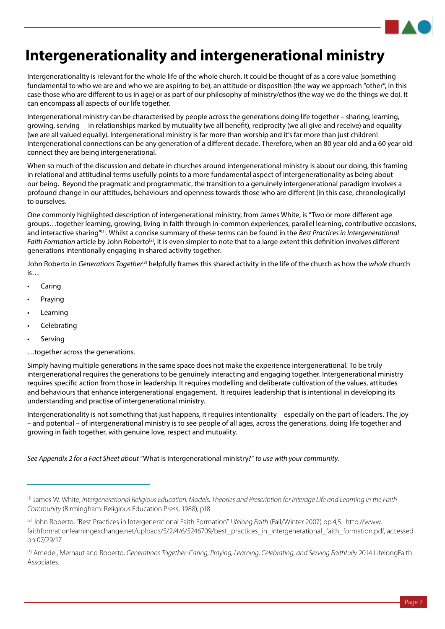# **Intergenerationality and intergenerational ministry**

Intergenerationality is relevant for the whole life of the whole church. It could be thought of as a core value (something fundamental to who we are and who we are aspiring to be), an attitude or disposition (the way we approach "other", in this case those who are different to us in age) or as part of our philosophy of ministry/ethos (the way we do the things we do). It can encompass all aspects of our life together.

Intergenerational ministry can be characterised by people across the generations doing life together – sharing, learning, growing, serving – in relationships marked by mutuality (we all benefit), reciprocity (we all give and receive) and equality (we are all valued equally). Intergenerational ministry is far more than worship and it's far more than just children! Intergenerational connections can be any generation of a different decade. Therefore, when an 80 year old and a 60 year old connect they are being intergenerational.

When so much of the discussion and debate in churches around intergenerational ministry is about our doing, this framing in relational and attitudinal terms usefully points to a more fundamental aspect of intergenerationality as being about our being. Beyond the pragmatic and programmatic, the transition to a genuinely intergenerational paradigm involves a profound change in our attitudes, behaviours and openness towards those who are different (in this case, chronologically) to ourselves.

One commonly highlighted description of intergenerational ministry, from James White, is "Two or more different age groups…together learning, growing, living in faith through in-common experiences, parallel learning, contributive occasions, and interactive sharing"[1]. Whilst a concise summary of these terms can be found in the *Best Practices in Intergenerational Faith Formation* article by John Roberto<sup>[2]</sup>, it is even simpler to note that to a large extent this definition involves different generations intentionally engaging in shared activity together.

John Roberto in *Generations Together*[3] helpfully frames this shared activity in the life of the church as how the *whole* church is…

- **Caring**
- **Praying**
- **Learning**
- **Celebrating**
- **Serving**
- …together across the generations.

Simply having multiple generations in the same space does not make the experience intergenerational. To be truly intergenerational requires the generations to be genuinely interacting and engaging together. Intergenerational ministry requires specific action from those in leadership. It requires modelling and deliberate cultivation of the values, attitudes and behaviours that enhance intergenerational engagement. It requires leadership that is intentional in developing its understanding and practise of intergenerational ministry.

Intergenerationality is not something that just happens, it requires intentionality – especially on the part of leaders. The joy – and potential – of intergenerational ministry is to see people of all ages, across the generations, doing life together and growing in faith together, with genuine love, respect and mutuality.

*See Appendix 2 for a Fact Sheet about* "What is intergenerational ministry?" *to use with your community.*

<sup>[1]</sup> James W. White, *Intergenerational Religious Education: Models, Theories and Prescription for Interage Life and Learning in the Faith Community* (Birmingham: Religious Education Press, 1988), p18.

<sup>[2]</sup> John Roberto, "Best Practices in Intergenerational Faith Formation" *Lifelong Faith* (Fall/Winter 2007) pp.4,5. http://www. faithformationlearningexchange.net/uploads/5/2/4/6/5246709/best\_practices\_in\_intergenerational\_faith\_formation.pdf, accessed on 07/29/17

<sup>[3]</sup> Amedei, Merhaut and Roberto, *Generations Together: Caring, Praying, Learning, Celebrating, and Serving Faithfully* 2014 LifelongFaith Associates.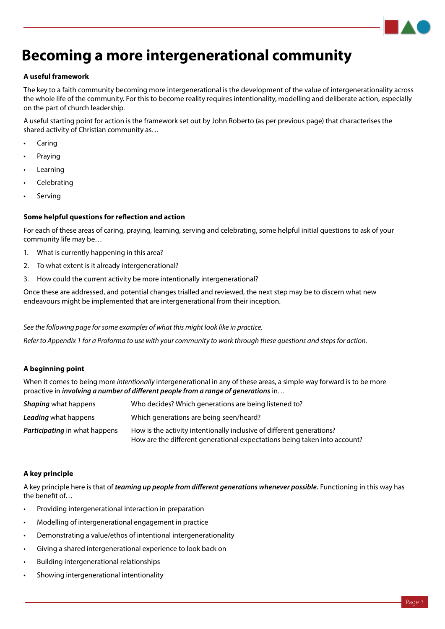### **Becoming a more intergenerational community**

#### **A useful framework**

The key to a faith community becoming more intergenerational is the development of the value of intergenerationality across the whole life of the community. For this to become reality requires intentionality, modelling and deliberate action, especially on the part of church leadership.

A useful starting point for action is the framework set out by John Roberto (as per previous page) that characterises the shared activity of Christian community as…

- **Caring**
- Praying
- **Learning**
- **Celebrating**
- **Serving**

#### **Some helpful questions for reflection and action**

For each of these areas of caring, praying, learning, serving and celebrating, some helpful initial questions to ask of your community life may be…

- 1. What is currently happening in this area?
- 2. To what extent is it already intergenerational?
- 3. How could the current activity be more intentionally intergenerational?

Once these are addressed, and potential changes trialled and reviewed, the next step may be to discern what new endeavours might be implemented that are intergenerational from their inception.

*See the following page for some examples of what this might look like in practice.* 

*Refer to Appendix 1 for a Proforma to use with your community to work through these questions and steps for action.*

#### **A beginning point**

When it comes to being more *intentionally* intergenerational in any of these areas, a simple way forward is to be more proactive in *involving a number of different people from a range of generations* in…

| <b>Shaping</b> what happens          | Who decides? Which generations are being listened to?                                                                                              |  |
|--------------------------------------|----------------------------------------------------------------------------------------------------------------------------------------------------|--|
| <b>Leading</b> what happens          | Which generations are being seen/heard?                                                                                                            |  |
| <b>Participating</b> in what happens | How is the activity intentionally inclusive of different generations?<br>How are the different generational expectations being taken into account? |  |

#### **A key principle**

A key principle here is that of *teaming up people from different generations whenever possible.* Functioning in this way has the benefit of…

- Providing intergenerational interaction in preparation
- Modelling of intergenerational engagement in practice
- Demonstrating a value/ethos of intentional intergenerationality
- Giving a shared intergenerational experience to look back on
- Building intergenerational relationships
- Showing intergenerational intentionality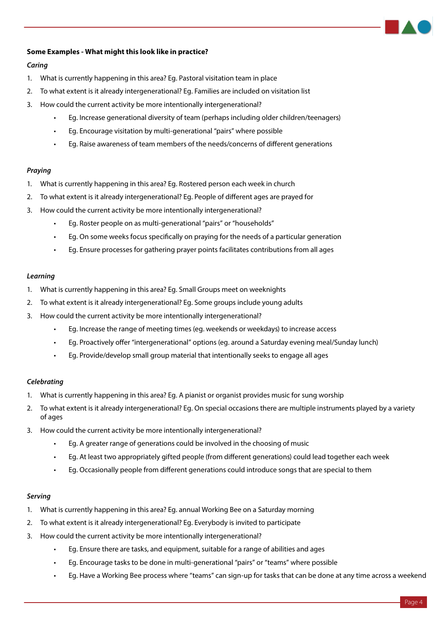#### **Some Examples - What might this look like in practice?**

#### *Caring*

- 1. What is currently happening in this area? Eg. Pastoral visitation team in place
- 2. To what extent is it already intergenerational? Eg. Families are included on visitation list
- 3. How could the current activity be more intentionally intergenerational?
	- Eg. Increase generational diversity of team (perhaps including older children/teenagers)
	- Eg. Encourage visitation by multi-generational "pairs" where possible
	- Eg. Raise awareness of team members of the needs/concerns of different generations

#### *Praying*

- 1. What is currently happening in this area? Eg. Rostered person each week in church
- 2. To what extent is it already intergenerational? Eg. People of different ages are prayed for
- 3. How could the current activity be more intentionally intergenerational?
	- Eg. Roster people on as multi-generational "pairs" or "households"
	- Eg. On some weeks focus specifically on praying for the needs of a particular generation
	- Eg. Ensure processes for gathering prayer points facilitates contributions from all ages

#### *Learning*

- 1. What is currently happening in this area? Eg. Small Groups meet on weeknights
- 2. To what extent is it already intergenerational? Eg. Some groups include young adults
- 3. How could the current activity be more intentionally intergenerational?
	- Eg. Increase the range of meeting times (eg. weekends or weekdays) to increase access
	- Eg. Proactively offer "intergenerational" options (eg. around a Saturday evening meal/Sunday lunch)
	- Eg. Provide/develop small group material that intentionally seeks to engage all ages

#### *Celebrating*

- 1. What is currently happening in this area? Eg. A pianist or organist provides music for sung worship
- 2. To what extent is it already intergenerational? Eg. On special occasions there are multiple instruments played by a variety of ages
- 3. How could the current activity be more intentionally intergenerational?
	- Eg. A greater range of generations could be involved in the choosing of music
	- Eg. At least two appropriately gifted people (from different generations) could lead together each week
	- Eg. Occasionally people from different generations could introduce songs that are special to them

#### *Serving*

- 1. What is currently happening in this area? Eg. annual Working Bee on a Saturday morning
- 2. To what extent is it already intergenerational? Eg. Everybody is invited to participate
- 3. How could the current activity be more intentionally intergenerational?
	- Eg. Ensure there are tasks, and equipment, suitable for a range of abilities and ages
	- Eg. Encourage tasks to be done in multi-generational "pairs" or "teams" where possible
	- Eg. Have a Working Bee process where "teams" can sign-up for tasks that can be done at any time across a weekend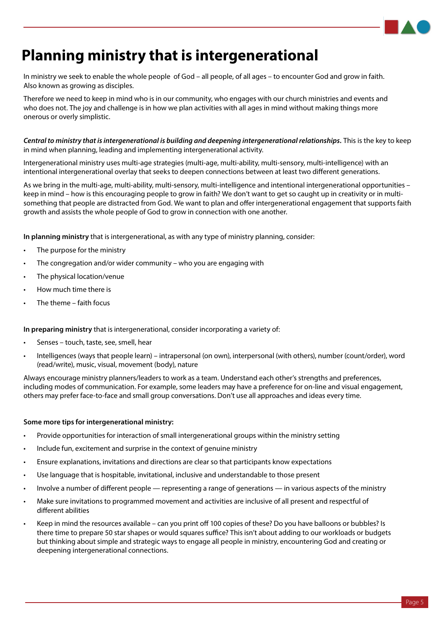

# **Planning ministry that is intergenerational**

In ministry we seek to enable the whole people of God – all people, of all ages – to encounter God and grow in faith. Also known as growing as disciples.

Therefore we need to keep in mind who is in our community, who engages with our church ministries and events and who does not. The joy and challenge is in how we plan activities with all ages in mind without making things more onerous or overly simplistic.

*Central to ministry that is intergenerational is building and deepening intergenerational relationships.* This is the key to keep in mind when planning, leading and implementing intergenerational activity.

Intergenerational ministry uses multi-age strategies (multi-age, multi-ability, multi-sensory, multi-intelligence) with an intentional intergenerational overlay that seeks to deepen connections between at least two different generations.

As we bring in the multi-age, multi-ability, multi-sensory, multi-intelligence and intentional intergenerational opportunities – keep in mind – how is this encouraging people to grow in faith? We don't want to get so caught up in creativity or in multisomething that people are distracted from God. We want to plan and offer intergenerational engagement that supports faith growth and assists the whole people of God to grow in connection with one another.

**In planning ministry** that is intergenerational, as with any type of ministry planning, consider:

- The purpose for the ministry
- The congregation and/or wider community who you are engaging with
- The physical location/venue
- How much time there is
- The theme faith focus

**In preparing ministry** that is intergenerational, consider incorporating a variety of:

- Senses touch, taste, see, smell, hear
- Intelligences (ways that people learn) intrapersonal (on own), interpersonal (with others), number (count/order), word (read/write), music, visual, movement (body), nature

Always encourage ministry planners/leaders to work as a team. Understand each other's strengths and preferences, including modes of communication. For example, some leaders may have a preference for on-line and visual engagement, others may prefer face-to-face and small group conversations. Don't use all approaches and ideas every time.

#### **Some more tips for intergenerational ministry:**

- Provide opportunities for interaction of small intergenerational groups within the ministry setting
- Include fun, excitement and surprise in the context of genuine ministry
- Ensure explanations, invitations and directions are clear so that participants know expectations
- Use language that is hospitable, invitational, inclusive and understandable to those present
- Involve a number of different people representing a range of generations in various aspects of the ministry
- Make sure invitations to programmed movement and activities are inclusive of all present and respectful of different abilities
- Keep in mind the resources available can you print off 100 copies of these? Do you have balloons or bubbles? Is there time to prepare 50 star shapes or would squares suffice? This isn't about adding to our workloads or budgets but thinking about simple and strategic ways to engage all people in ministry, encountering God and creating or deepening intergenerational connections.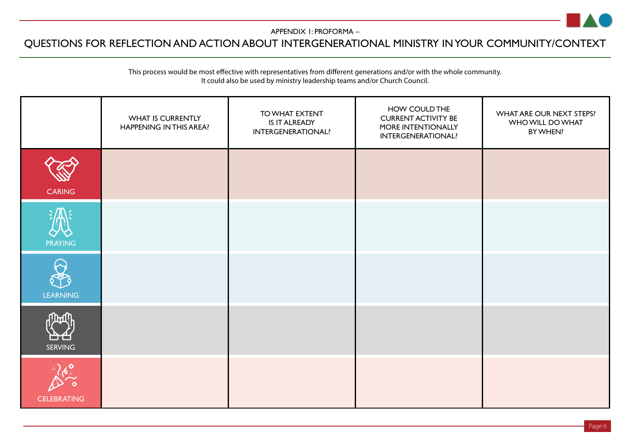

#### APPENDIX 1: PROFORMA –

### QUESTIONS FOR REFLECTION AND ACTION ABOUT INTERGENERATIONAL MINISTRY IN YOUR COMMUNITY/CONTEXT

#### This process would be most effective with representatives from different generations and/or with the whole community. It could also be used by ministry leadership teams and/or Church Council.

|                      | <b>WHAT IS CURRENTLY</b><br>HAPPENING IN THIS AREA? | TO WHAT EXTENT<br>IS IT ALREADY<br><b>INTERGENERATIONAL?</b> | HOW COULD THE<br><b>CURRENT ACTIVITY BE</b><br>MORE INTENTIONALLY<br>INTERGENERATIONAL? | WHAT ARE OUR NEXT STEPS?<br>WHO WILL DO WHAT<br>BY WHEN? |
|----------------------|-----------------------------------------------------|--------------------------------------------------------------|-----------------------------------------------------------------------------------------|----------------------------------------------------------|
| <b>CARING</b>        |                                                     |                                                              |                                                                                         |                                                          |
| <b>PRAYING</b>       |                                                     |                                                              |                                                                                         |                                                          |
| W<br><b>LEARNING</b> |                                                     |                                                              |                                                                                         |                                                          |
| <b>SERVING</b>       |                                                     |                                                              |                                                                                         |                                                          |
| <b>CELEBRATING</b>   |                                                     |                                                              |                                                                                         |                                                          |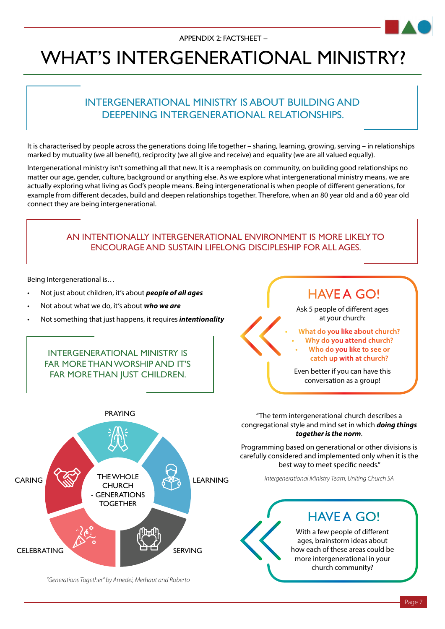# WHAT'S INTERGENERATIONAL MINISTRY?

### INTERGENERATIONAL MINISTRY IS ABOUT BUILDING AND DEEPENING INTERGENERATIONAL RELATIONSHIPS.

It is characterised by people across the generations doing life together – sharing, learning, growing, serving – in relationships marked by mutuality (we all benefit), reciprocity (we all give and receive) and equality (we are all valued equally).

Intergenerational ministry isn't something all that new. It is a reemphasis on community, on building good relationships no matter our age, gender, culture, background or anything else. As we explore what intergenerational ministry means, we are actually exploring what living as God's people means. Being intergenerational is when people of different generations, for example from different decades, build and deepen relationships together. Therefore, when an 80 year old and a 60 year old connect they are being intergenerational.

### AN INTENTIONALLY INTERGENERATIONAL ENVIRONMENT IS MORE LIKELY TO ENCOURAGE AND SUSTAIN LIFELONG DISCIPLESHIP FOR ALL AGES.

Being Intergenerational is…

- Not just about children, it's about *people of all ages*
- Not about what we do, it's about *who we are*
- Not something that just happens, it requires *intentionality*

INTERGENERATIONAL MINISTRY IS FAR MORE THAN WORSHIP AND IT'S FAR MORE THAN IUST CHILDREN.



*"Generations Together" by Amedei, Merhaut and Roberto*

"The term intergenerational church describes a congregational style and mind set in which *doing things together is the norm*.

HAVE A GO!

Ask 5 people of different ages at your church: **• What do you like about church? • Why do you attend church? • Who do you like to see or catch up with at church?**

Even better if you can have this conversation as a group!

Programming based on generational or other divisions is carefully considered and implemented only when it is the best way to meet specific needs."

*Intergenerational Ministry Team, Uniting Church SA*

### HAVF A GO!

With a few people of different ages, brainstorm ideas about how each of these areas could be more intergenerational in your church community?